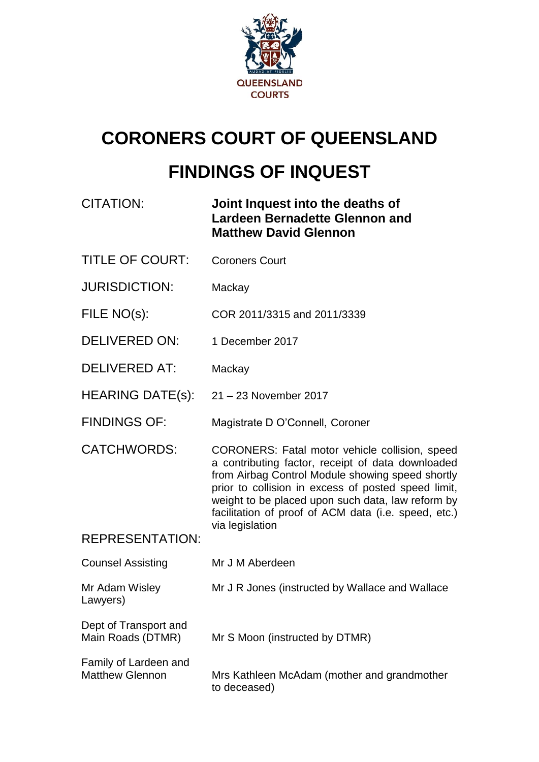

# **CORONERS COURT OF QUEENSLAND FINDINGS OF INQUEST**

| <b>CITATION:</b>                                | Joint Inquest into the deaths of<br><b>Lardeen Bernadette Glennon and</b><br><b>Matthew David Glennon</b>                                                                                                                                                                                                                   |
|-------------------------------------------------|-----------------------------------------------------------------------------------------------------------------------------------------------------------------------------------------------------------------------------------------------------------------------------------------------------------------------------|
| <b>TITLE OF COURT:</b>                          | <b>Coroners Court</b>                                                                                                                                                                                                                                                                                                       |
| <b>JURISDICTION:</b>                            | Mackay                                                                                                                                                                                                                                                                                                                      |
| FILE NO(s):                                     | COR 2011/3315 and 2011/3339                                                                                                                                                                                                                                                                                                 |
| <b>DELIVERED ON:</b>                            | 1 December 2017                                                                                                                                                                                                                                                                                                             |
| <b>DELIVERED AT:</b>                            | Mackay                                                                                                                                                                                                                                                                                                                      |
| <b>HEARING DATE(s):</b>                         | 21 - 23 November 2017                                                                                                                                                                                                                                                                                                       |
| <b>FINDINGS OF:</b>                             | Magistrate D O'Connell, Coroner                                                                                                                                                                                                                                                                                             |
| <b>CATCHWORDS:</b>                              | CORONERS: Fatal motor vehicle collision, speed<br>a contributing factor, receipt of data downloaded<br>from Airbag Control Module showing speed shortly<br>prior to collision in excess of posted speed limit,<br>weight to be placed upon such data, law reform by<br>facilitation of proof of ACM data (i.e. speed, etc.) |
| <b>REPRESENTATION:</b>                          | via legislation                                                                                                                                                                                                                                                                                                             |
| <b>Counsel Assisting</b>                        | Mr J M Aberdeen                                                                                                                                                                                                                                                                                                             |
| Mr Adam Wisley<br>Lawyers)                      | Mr J R Jones (instructed by Wallace and Wallace                                                                                                                                                                                                                                                                             |
| Dept of Transport and<br>Main Roads (DTMR)      | Mr S Moon (instructed by DTMR)                                                                                                                                                                                                                                                                                              |
| Family of Lardeen and<br><b>Matthew Glennon</b> | Mrs Kathleen McAdam (mother and grandmother<br>to deceased)                                                                                                                                                                                                                                                                 |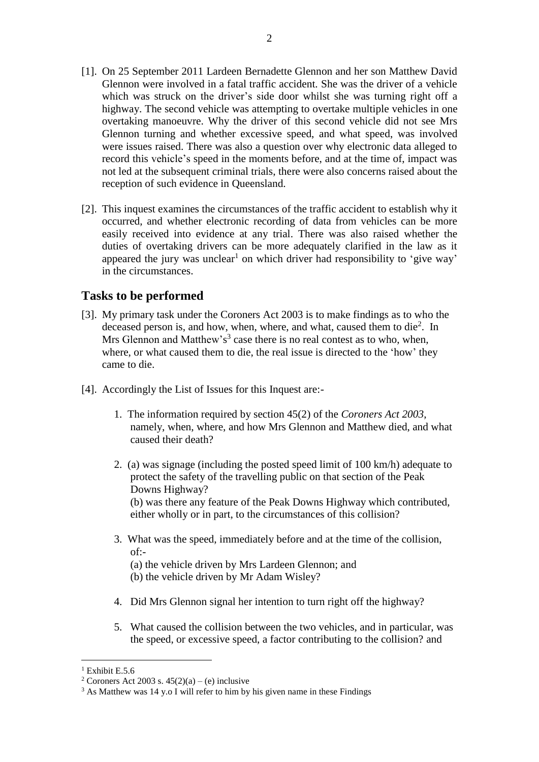- [1]. On 25 September 2011 Lardeen Bernadette Glennon and her son Matthew David Glennon were involved in a fatal traffic accident. She was the driver of a vehicle which was struck on the driver's side door whilst she was turning right off a highway. The second vehicle was attempting to overtake multiple vehicles in one overtaking manoeuvre. Why the driver of this second vehicle did not see Mrs Glennon turning and whether excessive speed, and what speed, was involved were issues raised. There was also a question over why electronic data alleged to record this vehicle's speed in the moments before, and at the time of, impact was not led at the subsequent criminal trials, there were also concerns raised about the reception of such evidence in Queensland.
- [2]. This inquest examines the circumstances of the traffic accident to establish why it occurred, and whether electronic recording of data from vehicles can be more easily received into evidence at any trial. There was also raised whether the duties of overtaking drivers can be more adequately clarified in the law as it appeared the jury was unclear<sup>1</sup> on which driver had responsibility to 'give way' in the circumstances.

## **Tasks to be performed**

- [3]. My primary task under the Coroners Act 2003 is to make findings as to who the deceased person is, and how, when, where, and what, caused them to die<sup>2</sup>. In Mrs Glennon and Matthew's<sup>3</sup> case there is no real contest as to who, when, where, or what caused them to die, the real issue is directed to the 'how' they came to die.
- [4]. Accordingly the List of Issues for this Inquest are:-
	- 1. The information required by section 45(2) of the *Coroners Act 2003*, namely, when, where, and how Mrs Glennon and Matthew died, and what caused their death?
	- 2. (a) was signage (including the posted speed limit of 100 km/h) adequate to protect the safety of the travelling public on that section of the Peak Downs Highway? (b) was there any feature of the Peak Downs Highway which contributed, either wholly or in part, to the circumstances of this collision?
	- 3. What was the speed, immediately before and at the time of the collision,  $of -$ (a) the vehicle driven by Mrs Lardeen Glennon; and (b) the vehicle driven by Mr Adam Wisley?
	- 4. Did Mrs Glennon signal her intention to turn right off the highway?
	- 5. What caused the collision between the two vehicles, and in particular, was the speed, or excessive speed, a factor contributing to the collision? and

<sup>&</sup>lt;sup>1</sup> Exhibit E.5.6.

<sup>&</sup>lt;sup>2</sup> Coroners Act 2003 s.  $45(2)(a) - (e)$  inclusive

<sup>&</sup>lt;sup>3</sup> As Matthew was 14 y.o I will refer to him by his given name in these Findings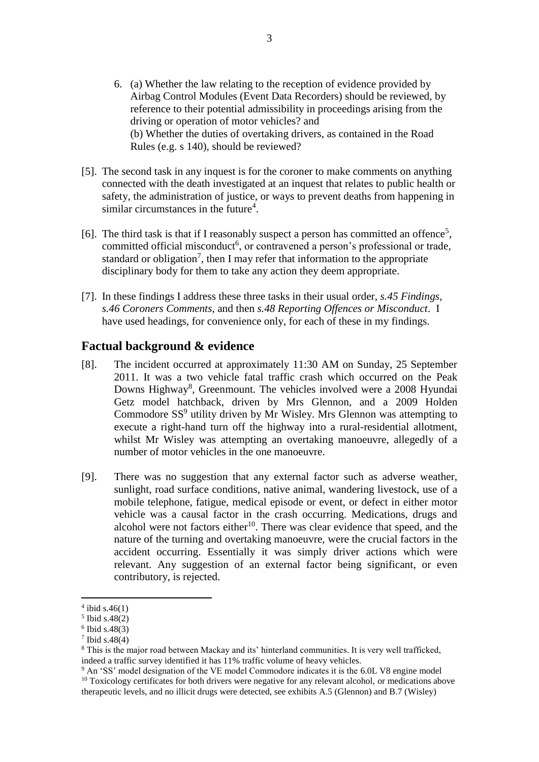- 6. (a) Whether the law relating to the reception of evidence provided by Airbag Control Modules (Event Data Recorders) should be reviewed, by reference to their potential admissibility in proceedings arising from the driving or operation of motor vehicles? and (b) Whether the duties of overtaking drivers, as contained in the Road Rules (e.g. s 140), should be reviewed?
- [5]. The second task in any inquest is for the coroner to make comments on anything connected with the death investigated at an inquest that relates to public health or safety, the administration of justice, or ways to prevent deaths from happening in similar circumstances in the future<sup>4</sup>.
- [6]. The third task is that if I reasonably suspect a person has committed an offence<sup>5</sup>, committed official misconduct<sup>6</sup>, or contravened a person's professional or trade, standard or obligation<sup>7</sup>, then I may refer that information to the appropriate disciplinary body for them to take any action they deem appropriate.
- [7]. In these findings I address these three tasks in their usual order, *s.45 Findings*, *s.46 Coroners Comments*, and then *s.48 Reporting Offences or Misconduct*. I have used headings, for convenience only, for each of these in my findings.

### **Factual background & evidence**

- [8]. The incident occurred at approximately 11:30 AM on Sunday, 25 September 2011. It was a two vehicle fatal traffic crash which occurred on the Peak Downs Highway<sup>8</sup>, Greenmount. The vehicles involved were a 2008 Hyundai Getz model hatchback, driven by Mrs Glennon, and a 2009 Holden Commodore SS<sup>9</sup> utility driven by Mr Wisley. Mrs Glennon was attempting to execute a right-hand turn off the highway into a rural-residential allotment, whilst Mr Wisley was attempting an overtaking manoeuvre, allegedly of a number of motor vehicles in the one manoeuvre.
- [9]. There was no suggestion that any external factor such as adverse weather, sunlight, road surface conditions, native animal, wandering livestock, use of a mobile telephone, fatigue, medical episode or event, or defect in either motor vehicle was a causal factor in the crash occurring. Medications, drugs and alcohol were not factors either<sup>10</sup>. There was clear evidence that speed, and the nature of the turning and overtaking manoeuvre, were the crucial factors in the accident occurring. Essentially it was simply driver actions which were relevant. Any suggestion of an external factor being significant, or even contributory, is rejected.

 $4$  ibid s.46(1)

<sup>5</sup> Ibid s.48(2)

<sup>6</sup> Ibid s.48(3)

<sup>7</sup> Ibid s.48(4)

<sup>8</sup> This is the major road between Mackay and its' hinterland communities. It is very well trafficked, indeed a traffic survey identified it has 11% traffic volume of heavy vehicles.

<sup>&</sup>lt;sup>9</sup> An 'SS' model designation of the VE model Commodore indicates it is the 6.0L V8 engine model  $10$  Toxicology certificates for both drivers were negative for any relevant alcohol, or medications above therapeutic levels, and no illicit drugs were detected, see exhibits A.5 (Glennon) and B.7 (Wisley)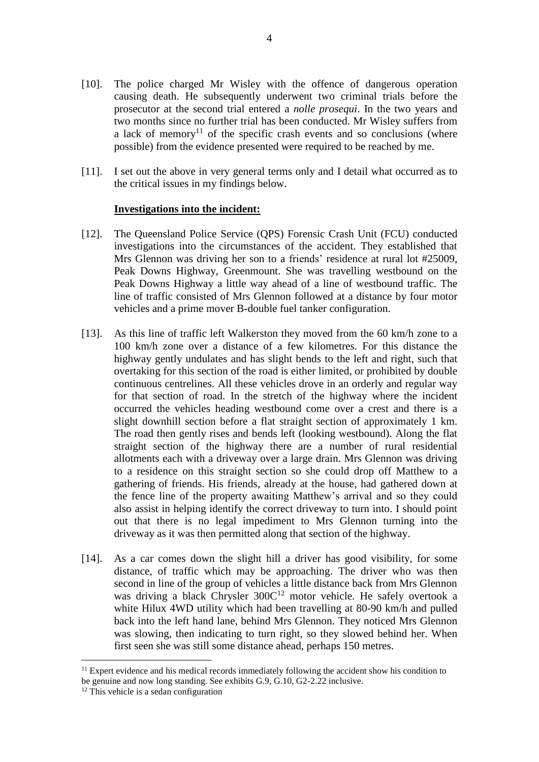- [10]. The police charged Mr Wisley with the offence of dangerous operation causing death. He subsequently underwent two criminal trials before the prosecutor at the second trial entered a *nolle prosequi*. In the two years and two months since no further trial has been conducted. Mr Wisley suffers from a lack of memory<sup>11</sup> of the specific crash events and so conclusions (where possible) from the evidence presented were required to be reached by me.
- [11]. I set out the above in very general terms only and I detail what occurred as to the critical issues in my findings below.

#### **Investigations into the incident:**

- [12]. The Queensland Police Service (QPS) Forensic Crash Unit (FCU) conducted investigations into the circumstances of the accident. They established that Mrs Glennon was driving her son to a friends' residence at rural lot #25009, Peak Downs Highway, Greenmount. She was travelling westbound on the Peak Downs Highway a little way ahead of a line of westbound traffic. The line of traffic consisted of Mrs Glennon followed at a distance by four motor vehicles and a prime mover B-double fuel tanker configuration.
- [13]. As this line of traffic left Walkerston they moved from the 60 km/h zone to a 100 km/h zone over a distance of a few kilometres. For this distance the highway gently undulates and has slight bends to the left and right, such that overtaking for this section of the road is either limited, or prohibited by double continuous centrelines. All these vehicles drove in an orderly and regular way for that section of road. In the stretch of the highway where the incident occurred the vehicles heading westbound come over a crest and there is a slight downhill section before a flat straight section of approximately 1 km. The road then gently rises and bends left (looking westbound). Along the flat straight section of the highway there are a number of rural residential allotments each with a driveway over a large drain. Mrs Glennon was driving to a residence on this straight section so she could drop off Matthew to a gathering of friends. His friends, already at the house, had gathered down at the fence line of the property awaiting Matthew's arrival and so they could also assist in helping identify the correct driveway to turn into. I should point out that there is no legal impediment to Mrs Glennon turning into the driveway as it was then permitted along that section of the highway.
- [14]. As a car comes down the slight hill a driver has good visibility, for some distance, of traffic which may be approaching. The driver who was then second in line of the group of vehicles a little distance back from Mrs Glennon was driving a black Chrysler 300C <sup>12</sup> motor vehicle. He safely overtook a white Hilux 4WD utility which had been travelling at 80-90 km/h and pulled back into the left hand lane, behind Mrs Glennon. They noticed Mrs Glennon was slowing, then indicating to turn right, so they slowed behind her. When first seen she was still some distance ahead, perhaps 150 metres.

 $11$  Expert evidence and his medical records immediately following the accident show his condition to be genuine and now long standing. See exhibits G.9, G.10, G2-2.22 inclusive.

 $12$  This vehicle is a sedan configuration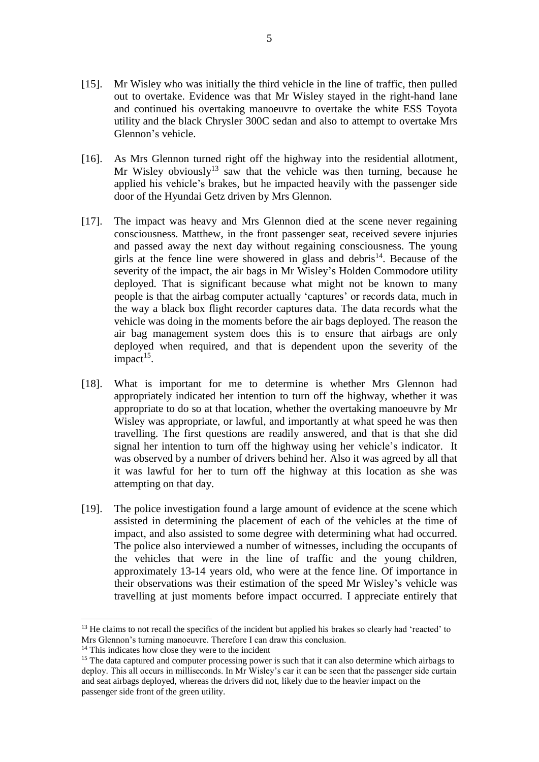- [15]. Mr Wisley who was initially the third vehicle in the line of traffic, then pulled out to overtake. Evidence was that Mr Wisley stayed in the right-hand lane and continued his overtaking manoeuvre to overtake the white ESS Toyota utility and the black Chrysler 300C sedan and also to attempt to overtake Mrs Glennon's vehicle.
- [16]. As Mrs Glennon turned right off the highway into the residential allotment, Mr Wisley obviously<sup>13</sup> saw that the vehicle was then turning, because he applied his vehicle's brakes, but he impacted heavily with the passenger side door of the Hyundai Getz driven by Mrs Glennon.
- [17]. The impact was heavy and Mrs Glennon died at the scene never regaining consciousness. Matthew, in the front passenger seat, received severe injuries and passed away the next day without regaining consciousness. The young girls at the fence line were showered in glass and debris<sup>14</sup>. Because of the severity of the impact, the air bags in Mr Wisley's Holden Commodore utility deployed. That is significant because what might not be known to many people is that the airbag computer actually 'captures' or records data, much in the way a black box flight recorder captures data. The data records what the vehicle was doing in the moments before the air bags deployed. The reason the air bag management system does this is to ensure that airbags are only deployed when required, and that is dependent upon the severity of the impact<sup>15</sup>.
- [18]. What is important for me to determine is whether Mrs Glennon had appropriately indicated her intention to turn off the highway, whether it was appropriate to do so at that location, whether the overtaking manoeuvre by Mr Wisley was appropriate, or lawful, and importantly at what speed he was then travelling. The first questions are readily answered, and that is that she did signal her intention to turn off the highway using her vehicle's indicator. It was observed by a number of drivers behind her. Also it was agreed by all that it was lawful for her to turn off the highway at this location as she was attempting on that day.
- [19]. The police investigation found a large amount of evidence at the scene which assisted in determining the placement of each of the vehicles at the time of impact, and also assisted to some degree with determining what had occurred. The police also interviewed a number of witnesses, including the occupants of the vehicles that were in the line of traffic and the young children, approximately 13-14 years old, who were at the fence line. Of importance in their observations was their estimation of the speed Mr Wisley's vehicle was travelling at just moments before impact occurred. I appreciate entirely that

<sup>&</sup>lt;sup>13</sup> He claims to not recall the specifics of the incident but applied his brakes so clearly had 'reacted' to Mrs Glennon's turning manoeuvre. Therefore I can draw this conclusion.

<sup>&</sup>lt;sup>14</sup> This indicates how close they were to the incident

<sup>&</sup>lt;sup>15</sup> The data captured and computer processing power is such that it can also determine which airbags to deploy. This all occurs in milliseconds. In Mr Wisley's car it can be seen that the passenger side curtain and seat airbags deployed, whereas the drivers did not, likely due to the heavier impact on the passenger side front of the green utility.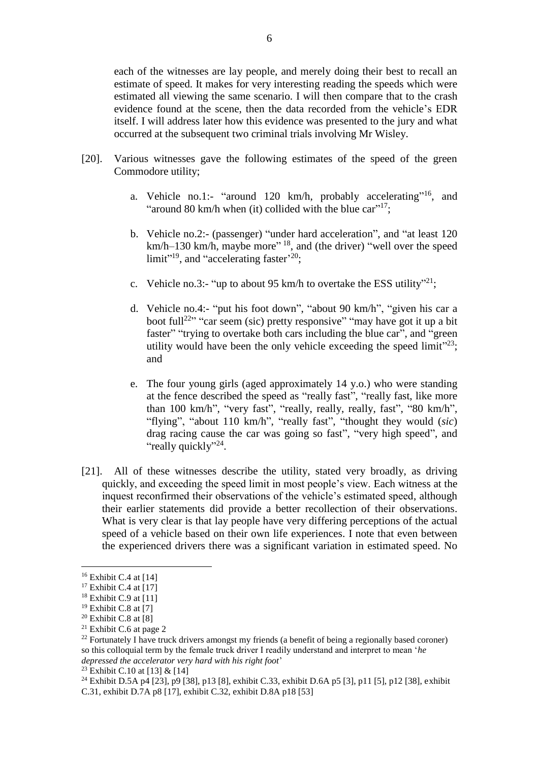each of the witnesses are lay people, and merely doing their best to recall an estimate of speed. It makes for very interesting reading the speeds which were estimated all viewing the same scenario. I will then compare that to the crash evidence found at the scene, then the data recorded from the vehicle's EDR itself. I will address later how this evidence was presented to the jury and what occurred at the subsequent two criminal trials involving Mr Wisley.

- [20]. Various witnesses gave the following estimates of the speed of the green Commodore utility;
	- a. Vehicle no.1:- "around 120 km/h, probably accelerating"<sup>16</sup>, and "around 80 km/h when (it) collided with the blue car"<sup>17</sup>;
	- b. Vehicle no.2:- (passenger) "under hard acceleration", and "at least 120 km/h–130 km/h, maybe more"<sup>18</sup>, and (the driver) "well over the speed limit"<sup>19</sup>, and "accelerating faster<sup>'20</sup>;
	- c. Vehicle no.3:- "up to about 95 km/h to overtake the ESS utility"<sup>21</sup>;
	- d. Vehicle no.4:- "put his foot down", "about 90 km/h", "given his car a boot full<sup>22</sup><sup>2</sup> "car seem (sic) pretty responsive" "may have got it up a bit faster" "trying to overtake both cars including the blue car", and "green utility would have been the only vehicle exceeding the speed limit $v<sup>23</sup>$ ; and
	- e. The four young girls (aged approximately 14 y.o.) who were standing at the fence described the speed as "really fast", "really fast, like more than 100 km/h", "very fast", "really, really, really, fast", "80 km/h", "flying", "about 110 km/h", "really fast", "thought they would (*sic*) drag racing cause the car was going so fast", "very high speed", and "really quickly"<sup>24</sup>.
- [21]. All of these witnesses describe the utility, stated very broadly, as driving quickly, and exceeding the speed limit in most people's view. Each witness at the inquest reconfirmed their observations of the vehicle's estimated speed, although their earlier statements did provide a better recollection of their observations. What is very clear is that lay people have very differing perceptions of the actual speed of a vehicle based on their own life experiences. I note that even between the experienced drivers there was a significant variation in estimated speed. No

<u>.</u>

<sup>23</sup> Exhibit C.10 at [13] & [14]

 $16$  Exhibit C.4 at [14]

 $17$  Exhibit C.4 at [17]

 $18$  Exhibit C.9 at [11]

 $19$  Exhibit C.8 at [7]

 $20$  Exhibit C.8 at [8]

<sup>&</sup>lt;sup>21</sup> Exhibit C.6 at page 2

 $^{22}$  Fortunately I have truck drivers amongst my friends (a benefit of being a regionally based coroner) so this colloquial term by the female truck driver I readily understand and interpret to mean '*he depressed the accelerator very hard with his right foot*'

<sup>24</sup> Exhibit D.5A p4 [23], p9 [38], p13 [8], exhibit C.33, exhibit D.6A p5 [3], p11 [5], p12 [38], exhibit C.31, exhibit D.7A p8 [17], exhibit C.32, exhibit D.8A p18 [53]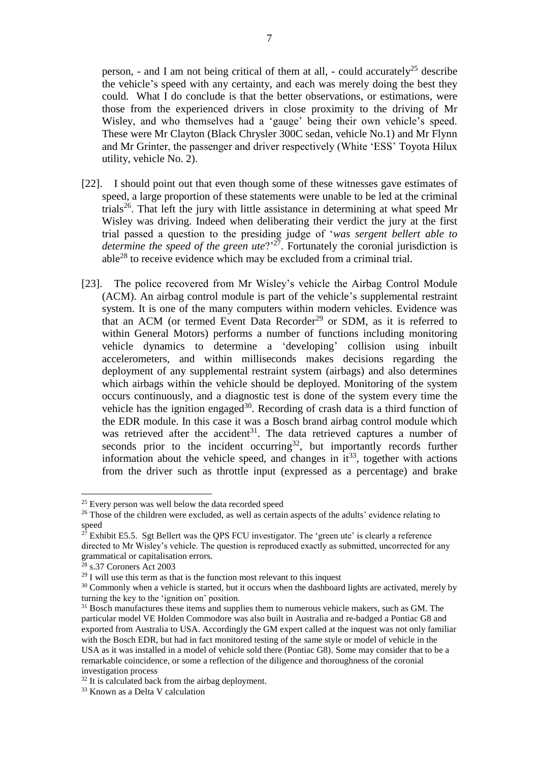person, - and I am not being critical of them at all, - could accurately<sup>25</sup> describe the vehicle's speed with any certainty, and each was merely doing the best they could. What I do conclude is that the better observations, or estimations, were those from the experienced drivers in close proximity to the driving of Mr Wisley, and who themselves had a 'gauge' being their own vehicle's speed. These were Mr Clayton (Black Chrysler 300C sedan, vehicle No.1) and Mr Flynn and Mr Grinter, the passenger and driver respectively (White 'ESS' Toyota Hilux utility, vehicle No. 2).

- [22]. I should point out that even though some of these witnesses gave estimates of speed, a large proportion of these statements were unable to be led at the criminal trials<sup>26</sup>. That left the jury with little assistance in determining at what speed Mr Wisley was driving. Indeed when deliberating their verdict the jury at the first trial passed a question to the presiding judge of '*was sergent bellert able to*  determine the speed of the green ute?<sup>27</sup>. Fortunately the coronial jurisdiction is able<sup>28</sup> to receive evidence which may be excluded from a criminal trial.
- [23]. The police recovered from Mr Wisley's vehicle the Airbag Control Module (ACM). An airbag control module is part of the vehicle's supplemental restraint system. It is one of the many computers within modern vehicles. Evidence was that an ACM (or termed Event Data Recorder<sup>29</sup> or SDM, as it is referred to within General Motors) performs a number of functions including monitoring vehicle dynamics to determine a 'developing' collision using inbuilt accelerometers, and within milliseconds makes decisions regarding the deployment of any supplemental restraint system (airbags) and also determines which airbags within the vehicle should be deployed. Monitoring of the system occurs continuously, and a diagnostic test is done of the system every time the vehicle has the ignition engaged<sup>30</sup>. Recording of crash data is a third function of the EDR module. In this case it was a Bosch brand airbag control module which was retrieved after the accident<sup>31</sup>. The data retrieved captures a number of seconds prior to the incident occurring<sup>32</sup>, but importantly records further information about the vehicle speed, and changes in  $it^{33}$ , together with actions from the driver such as throttle input (expressed as a percentage) and brake

<sup>&</sup>lt;sup>25</sup> Every person was well below the data recorded speed

<sup>&</sup>lt;sup>26</sup> Those of the children were excluded, as well as certain aspects of the adults' evidence relating to speed

 $27$  Exhibit E5.5. Sgt Bellert was the QPS FCU investigator. The 'green ute' is clearly a reference directed to Mr Wisley's vehicle. The question is reproduced exactly as submitted, uncorrected for any grammatical or capitalisation errors.

<sup>28</sup> s.37 Coroners Act 2003

 $29$  I will use this term as that is the function most relevant to this inquest

<sup>&</sup>lt;sup>30</sup> Commonly when a vehicle is started, but it occurs when the dashboard lights are activated, merely by turning the key to the 'ignition on' position.

<sup>&</sup>lt;sup>31</sup> Bosch manufactures these items and supplies them to numerous vehicle makers, such as GM. The particular model VE Holden Commodore was also built in Australia and re-badged a Pontiac G8 and exported from Australia to USA. Accordingly the GM expert called at the inquest was not only familiar with the Bosch EDR, but had in fact monitored testing of the same style or model of vehicle in the USA as it was installed in a model of vehicle sold there (Pontiac G8). Some may consider that to be a remarkable coincidence, or some a reflection of the diligence and thoroughness of the coronial investigation process

 $32$  It is calculated back from the airbag deployment.

<sup>33</sup> Known as a Delta V calculation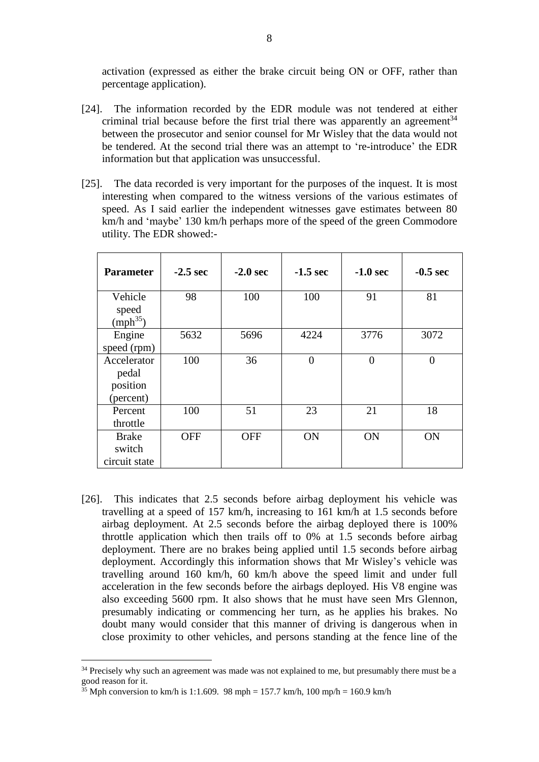activation (expressed as either the brake circuit being ON or OFF, rather than percentage application).

- [24]. The information recorded by the EDR module was not tendered at either criminal trial because before the first trial there was apparently an agreement<sup>34</sup> between the prosecutor and senior counsel for Mr Wisley that the data would not be tendered. At the second trial there was an attempt to 're-introduce' the EDR information but that application was unsuccessful.
- [25]. The data recorded is very important for the purposes of the inquest. It is most interesting when compared to the witness versions of the various estimates of speed. As I said earlier the independent witnesses gave estimates between 80 km/h and 'maybe' 130 km/h perhaps more of the speed of the green Commodore utility. The EDR showed:-

| <b>Parameter</b>                              | $-2.5$ sec | $-2.0$ sec | $-1.5$ sec     | $-1.0$ sec     | $-0.5$ sec     |
|-----------------------------------------------|------------|------------|----------------|----------------|----------------|
| Vehicle<br>speed<br>(mph <sup>35</sup> )      | 98         | 100        | 100            | 91             | 81             |
| Engine<br>speed (rpm)                         | 5632       | 5696       | 4224           | 3776           | 3072           |
| Accelerator<br>pedal<br>position<br>(percent) | 100        | 36         | $\overline{0}$ | $\overline{0}$ | $\overline{0}$ |
| Percent<br>throttle                           | 100        | 51         | 23             | 21             | 18             |
| <b>Brake</b><br>switch<br>circuit state       | <b>OFF</b> | <b>OFF</b> | ON             | ON             | ON             |

[26]. This indicates that 2.5 seconds before airbag deployment his vehicle was travelling at a speed of 157 km/h, increasing to 161 km/h at 1.5 seconds before airbag deployment. At 2.5 seconds before the airbag deployed there is 100% throttle application which then trails off to 0% at 1.5 seconds before airbag deployment. There are no brakes being applied until 1.5 seconds before airbag deployment. Accordingly this information shows that Mr Wisley's vehicle was travelling around 160 km/h, 60 km/h above the speed limit and under full acceleration in the few seconds before the airbags deployed. His V8 engine was also exceeding 5600 rpm. It also shows that he must have seen Mrs Glennon, presumably indicating or commencing her turn, as he applies his brakes. No doubt many would consider that this manner of driving is dangerous when in close proximity to other vehicles, and persons standing at the fence line of the

<sup>&</sup>lt;sup>34</sup> Precisely why such an agreement was made was not explained to me, but presumably there must be a good reason for it.

<sup>&</sup>lt;sup>35</sup> Mph conversion to km/h is 1:1.609. 98 mph = 157.7 km/h, 100 mp/h = 160.9 km/h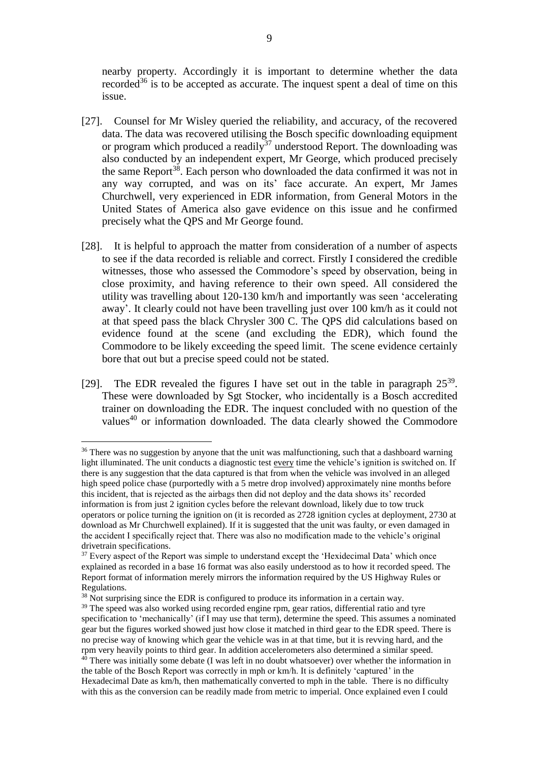nearby property. Accordingly it is important to determine whether the data recorded<sup>36</sup> is to be accepted as accurate. The inquest spent a deal of time on this issue.

- [27]. Counsel for Mr Wisley queried the reliability, and accuracy, of the recovered data. The data was recovered utilising the Bosch specific downloading equipment or program which produced a readily<sup>37</sup> understood Report. The downloading was also conducted by an independent expert, Mr George, which produced precisely the same Report<sup>38</sup>. Each person who downloaded the data confirmed it was not in any way corrupted, and was on its' face accurate. An expert, Mr James Churchwell, very experienced in EDR information, from General Motors in the United States of America also gave evidence on this issue and he confirmed precisely what the QPS and Mr George found.
- [28]. It is helpful to approach the matter from consideration of a number of aspects to see if the data recorded is reliable and correct. Firstly I considered the credible witnesses, those who assessed the Commodore's speed by observation, being in close proximity, and having reference to their own speed. All considered the utility was travelling about 120-130 km/h and importantly was seen 'accelerating away'. It clearly could not have been travelling just over 100 km/h as it could not at that speed pass the black Chrysler 300 C. The QPS did calculations based on evidence found at the scene (and excluding the EDR), which found the Commodore to be likely exceeding the speed limit. The scene evidence certainly bore that out but a precise speed could not be stated.
- [29]. The EDR revealed the figures I have set out in the table in paragraph  $25^{39}$ . These were downloaded by Sgt Stocker, who incidentally is a Bosch accredited trainer on downloading the EDR. The inquest concluded with no question of the values<sup>40</sup> or information downloaded. The data clearly showed the Commodore

<sup>&</sup>lt;sup>36</sup> There was no suggestion by anyone that the unit was malfunctioning, such that a dashboard warning light illuminated. The unit conducts a diagnostic test every time the vehicle's ignition is switched on. If there is any suggestion that the data captured is that from when the vehicle was involved in an alleged high speed police chase (purportedly with a 5 metre drop involved) approximately nine months before this incident, that is rejected as the airbags then did not deploy and the data shows its' recorded information is from just 2 ignition cycles before the relevant download, likely due to tow truck operators or police turning the ignition on (it is recorded as 2728 ignition cycles at deployment, 2730 at download as Mr Churchwell explained). If it is suggested that the unit was faulty, or even damaged in the accident I specifically reject that. There was also no modification made to the vehicle's original drivetrain specifications.

 $37$  Every aspect of the Report was simple to understand except the 'Hexidecimal Data' which once explained as recorded in a base 16 format was also easily understood as to how it recorded speed. The Report format of information merely mirrors the information required by the US Highway Rules or Regulations.

<sup>&</sup>lt;sup>38</sup> Not surprising since the EDR is configured to produce its information in a certain way.

<sup>&</sup>lt;sup>39</sup> The speed was also worked using recorded engine rpm, gear ratios, differential ratio and tyre specification to 'mechanically' (if I may use that term), determine the speed. This assumes a nominated gear but the figures worked showed just how close it matched in third gear to the EDR speed. There is no precise way of knowing which gear the vehicle was in at that time, but it is revving hard, and the rpm very heavily points to third gear. In addition accelerometers also determined a similar speed.  $40$  There was initially some debate (I was left in no doubt whatsoever) over whether the information in the table of the Bosch Report was correctly in mph or km/h. It is definitely 'captured' in the Hexadecimal Date as km/h, then mathematically converted to mph in the table. There is no difficulty with this as the conversion can be readily made from metric to imperial. Once explained even I could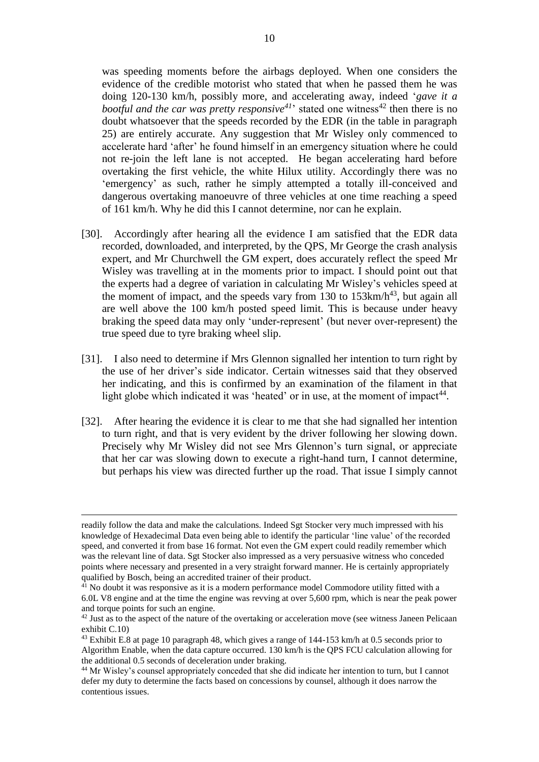was speeding moments before the airbags deployed. When one considers the evidence of the credible motorist who stated that when he passed them he was doing 120-130 km/h, possibly more, and accelerating away, indeed '*gave it a bootful and the car was pretty responsive*<sup> $41$ </sup> stated one witness<sup> $42$ </sup> then there is no doubt whatsoever that the speeds recorded by the EDR (in the table in paragraph 25) are entirely accurate. Any suggestion that Mr Wisley only commenced to accelerate hard 'after' he found himself in an emergency situation where he could not re-join the left lane is not accepted. He began accelerating hard before overtaking the first vehicle, the white Hilux utility. Accordingly there was no 'emergency' as such, rather he simply attempted a totally ill-conceived and dangerous overtaking manoeuvre of three vehicles at one time reaching a speed of 161 km/h. Why he did this I cannot determine, nor can he explain.

- [30]. Accordingly after hearing all the evidence I am satisfied that the EDR data recorded, downloaded, and interpreted, by the QPS, Mr George the crash analysis expert, and Mr Churchwell the GM expert, does accurately reflect the speed Mr Wisley was travelling at in the moments prior to impact. I should point out that the experts had a degree of variation in calculating Mr Wisley's vehicles speed at the moment of impact, and the speeds vary from 130 to  $153 \text{km/h}^{43}$ , but again all are well above the 100 km/h posted speed limit. This is because under heavy braking the speed data may only 'under-represent' (but never over-represent) the true speed due to tyre braking wheel slip.
- [31]. I also need to determine if Mrs Glennon signalled her intention to turn right by the use of her driver's side indicator. Certain witnesses said that they observed her indicating, and this is confirmed by an examination of the filament in that light globe which indicated it was 'heated' or in use, at the moment of impact<sup>44</sup>.
- [32]. After hearing the evidence it is clear to me that she had signalled her intention to turn right, and that is very evident by the driver following her slowing down. Precisely why Mr Wisley did not see Mrs Glennon's turn signal, or appreciate that her car was slowing down to execute a right-hand turn, I cannot determine, but perhaps his view was directed further up the road. That issue I simply cannot

readily follow the data and make the calculations. Indeed Sgt Stocker very much impressed with his knowledge of Hexadecimal Data even being able to identify the particular 'line value' of the recorded speed, and converted it from base 16 format. Not even the GM expert could readily remember which was the relevant line of data. Sgt Stocker also impressed as a very persuasive witness who conceded points where necessary and presented in a very straight forward manner. He is certainly appropriately qualified by Bosch, being an accredited trainer of their product.

<sup>&</sup>lt;sup>41</sup> No doubt it was responsive as it is a modern performance model Commodore utility fitted with a 6.0L V8 engine and at the time the engine was revving at over 5,600 rpm, which is near the peak power and torque points for such an engine.

<sup>&</sup>lt;sup>42</sup> Just as to the aspect of the nature of the overtaking or acceleration move (see witness Janeen Pelicaan exhibit C.10)

<sup>43</sup> Exhibit E.8 at page 10 paragraph 48, which gives a range of 144-153 km/h at 0.5 seconds prior to Algorithm Enable, when the data capture occurred. 130 km/h is the QPS FCU calculation allowing for the additional 0.5 seconds of deceleration under braking.

<sup>44</sup> Mr Wisley's counsel appropriately conceded that she did indicate her intention to turn, but I cannot defer my duty to determine the facts based on concessions by counsel, although it does narrow the contentious issues.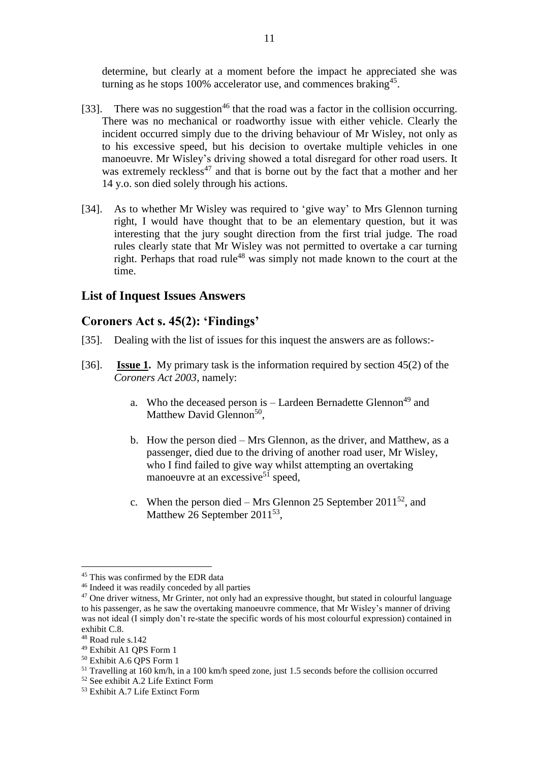determine, but clearly at a moment before the impact he appreciated she was turning as he stops  $100\%$  accelerator use, and commences braking<sup>45</sup>.

- [33]. There was no suggestion<sup>46</sup> that the road was a factor in the collision occurring. There was no mechanical or roadworthy issue with either vehicle. Clearly the incident occurred simply due to the driving behaviour of Mr Wisley, not only as to his excessive speed, but his decision to overtake multiple vehicles in one manoeuvre. Mr Wisley's driving showed a total disregard for other road users. It was extremely reckless<sup>47</sup> and that is borne out by the fact that a mother and her 14 y.o. son died solely through his actions.
- [34]. As to whether Mr Wisley was required to 'give way' to Mrs Glennon turning right, I would have thought that to be an elementary question, but it was interesting that the jury sought direction from the first trial judge. The road rules clearly state that Mr Wisley was not permitted to overtake a car turning right. Perhaps that road rule<sup>48</sup> was simply not made known to the court at the time.

### **List of Inquest Issues Answers**

### **Coroners Act s. 45(2): 'Findings'**

- [35]. Dealing with the list of issues for this inquest the answers are as follows:-
- [36]. **Issue 1.** My primary task is the information required by section 45(2) of the *Coroners Act 2003*, namely:
	- a. Who the deceased person is  $-$  Lardeen Bernadette Glennon<sup>49</sup> and Matthew David Glennon<sup>50</sup>,
	- b. How the person died Mrs Glennon, as the driver, and Matthew, as a passenger, died due to the driving of another road user, Mr Wisley, who I find failed to give way whilst attempting an overtaking manoeuvre at an excessive<sup>51</sup> speed,
	- c. When the person died Mrs Glennon 25 September 2011<sup>52</sup>, and Matthew 26 September 2011 $53$ ,

<sup>45</sup> This was confirmed by the EDR data

<sup>46</sup> Indeed it was readily conceded by all parties

<sup>&</sup>lt;sup>47</sup> One driver witness, Mr Grinter, not only had an expressive thought, but stated in colourful language to his passenger, as he saw the overtaking manoeuvre commence, that Mr Wisley's manner of driving was not ideal (I simply don't re-state the specific words of his most colourful expression) contained in exhibit C.8.

<sup>48</sup> Road rule s.142

<sup>49</sup> Exhibit A1 QPS Form 1

<sup>50</sup> Exhibit A.6 QPS Form 1

<sup>&</sup>lt;sup>51</sup> Travelling at 160 km/h, in a 100 km/h speed zone, just 1.5 seconds before the collision occurred

<sup>52</sup> See exhibit A.2 Life Extinct Form

<sup>53</sup> Exhibit A.7 Life Extinct Form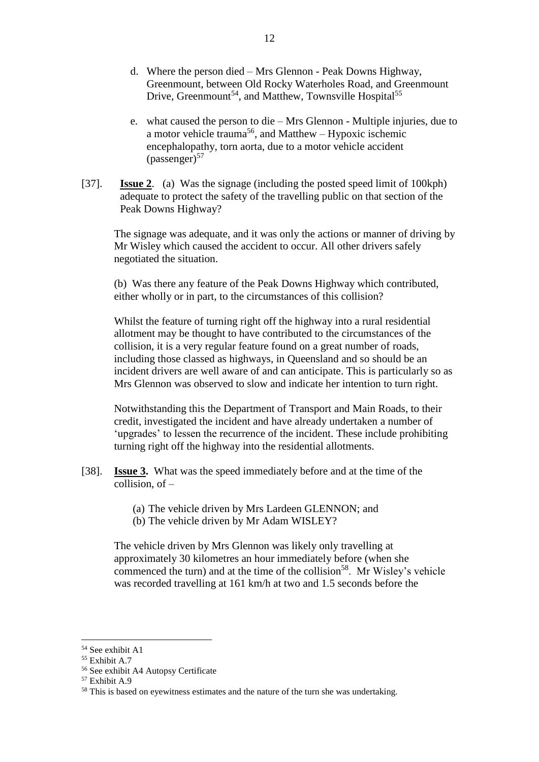- d. Where the person died Mrs Glennon Peak Downs Highway, Greenmount, between Old Rocky Waterholes Road, and Greenmount Drive, Greenmount<sup>54</sup>, and Matthew, Townsville Hospital<sup>55</sup>
- e. what caused the person to die Mrs Glennon Multiple injuries, due to a motor vehicle trauma<sup>56</sup>, and Matthew – Hypoxic ischemic encephalopathy, torn aorta, due to a motor vehicle accident  $(\text{passenger})^{57}$
- [37]. **Issue 2**. (a) Was the signage (including the posted speed limit of 100kph) adequate to protect the safety of the travelling public on that section of the Peak Downs Highway?

The signage was adequate, and it was only the actions or manner of driving by Mr Wisley which caused the accident to occur. All other drivers safely negotiated the situation.

(b) Was there any feature of the Peak Downs Highway which contributed, either wholly or in part, to the circumstances of this collision?

Whilst the feature of turning right off the highway into a rural residential allotment may be thought to have contributed to the circumstances of the collision, it is a very regular feature found on a great number of roads, including those classed as highways, in Queensland and so should be an incident drivers are well aware of and can anticipate. This is particularly so as Mrs Glennon was observed to slow and indicate her intention to turn right.

Notwithstanding this the Department of Transport and Main Roads, to their credit, investigated the incident and have already undertaken a number of 'upgrades' to lessen the recurrence of the incident. These include prohibiting turning right off the highway into the residential allotments.

- [38]. **Issue 3.** What was the speed immediately before and at the time of the collision, of –
	- (a) The vehicle driven by Mrs Lardeen GLENNON; and
	- (b) The vehicle driven by Mr Adam WISLEY?

The vehicle driven by Mrs Glennon was likely only travelling at approximately 30 kilometres an hour immediately before (when she commenced the turn) and at the time of the collision<sup>58</sup>. Mr Wisley's vehicle was recorded travelling at 161 km/h at two and 1.5 seconds before the

<sup>54</sup> See exhibit A1

<sup>55</sup> Exhibit A.7

<sup>56</sup> See exhibit A4 Autopsy Certificate

<sup>57</sup> Exhibit A.9

<sup>&</sup>lt;sup>58</sup> This is based on eyewitness estimates and the nature of the turn she was undertaking.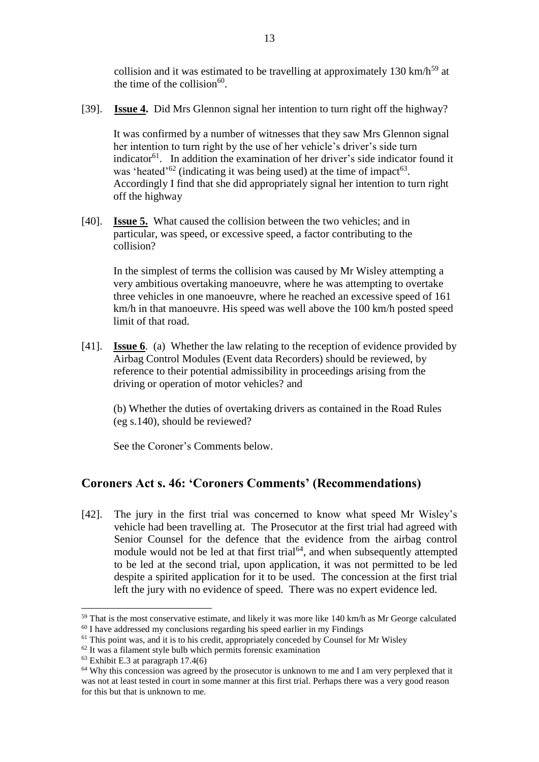collision and it was estimated to be travelling at approximately 130 km/h<sup>59</sup> at the time of the collision $60$ .

[39]. **Issue 4.** Did Mrs Glennon signal her intention to turn right off the highway?

It was confirmed by a number of witnesses that they saw Mrs Glennon signal her intention to turn right by the use of her vehicle's driver's side turn indicator<sup>61</sup>. In addition the examination of her driver's side indicator found it was 'heated'<sup>62</sup> (indicating it was being used) at the time of impact<sup>63</sup>. Accordingly I find that she did appropriately signal her intention to turn right off the highway

[40]. **Issue 5.** What caused the collision between the two vehicles; and in particular, was speed, or excessive speed, a factor contributing to the collision?

In the simplest of terms the collision was caused by Mr Wisley attempting a very ambitious overtaking manoeuvre, where he was attempting to overtake three vehicles in one manoeuvre, where he reached an excessive speed of 161 km/h in that manoeuvre. His speed was well above the 100 km/h posted speed limit of that road.

[41]. **Issue 6**. (a) Whether the law relating to the reception of evidence provided by Airbag Control Modules (Event data Recorders) should be reviewed, by reference to their potential admissibility in proceedings arising from the driving or operation of motor vehicles? and

(b) Whether the duties of overtaking drivers as contained in the Road Rules (eg s.140), should be reviewed?

See the Coroner's Comments below.

### **Coroners Act s. 46: 'Coroners Comments' (Recommendations)**

[42]. The jury in the first trial was concerned to know what speed Mr Wisley's vehicle had been travelling at. The Prosecutor at the first trial had agreed with Senior Counsel for the defence that the evidence from the airbag control module would not be led at that first trial<sup> $64$ </sup>, and when subsequently attempted to be led at the second trial, upon application, it was not permitted to be led despite a spirited application for it to be used. The concession at the first trial left the jury with no evidence of speed. There was no expert evidence led.

<sup>&</sup>lt;sup>59</sup> That is the most conservative estimate, and likely it was more like 140 km/h as Mr George calculated <sup>60</sup> I have addressed my conclusions regarding his speed earlier in my Findings

<sup>&</sup>lt;sup>61</sup> This point was, and it is to his credit, appropriately conceded by Counsel for Mr Wisley

<sup>62</sup> It was a filament style bulb which permits forensic examination

 $63$  Exhibit E.3 at paragraph 17.4(6)

 $64$  Why this concession was agreed by the prosecutor is unknown to me and I am very perplexed that it was not at least tested in court in some manner at this first trial. Perhaps there was a very good reason for this but that is unknown to me.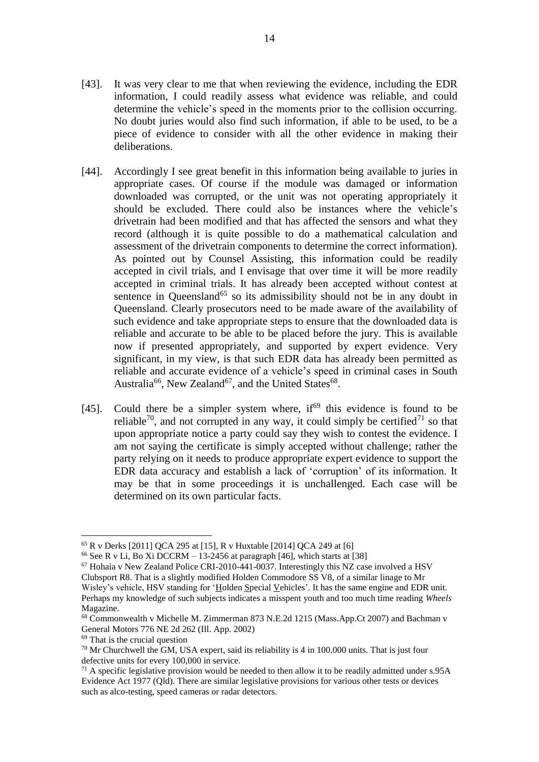- [43]. It was very clear to me that when reviewing the evidence, including the EDR information, I could readily assess what evidence was reliable, and could determine the vehicle's speed in the moments prior to the collision occurring. No doubt juries would also find such information, if able to be used, to be a piece of evidence to consider with all the other evidence in making their deliberations.
- [44]. Accordingly I see great benefit in this information being available to juries in appropriate cases. Of course if the module was damaged or information downloaded was corrupted, or the unit was not operating appropriately it should be excluded. There could also be instances where the vehicle's drivetrain had been modified and that has affected the sensors and what they record (although it is quite possible to do a mathematical calculation and assessment of the drivetrain components to determine the correct information). As pointed out by Counsel Assisting, this information could be readily accepted in civil trials, and I envisage that over time it will be more readily accepted in criminal trials. It has already been accepted without contest at sentence in Queensland<sup>65</sup> so its admissibility should not be in any doubt in Queensland. Clearly prosecutors need to be made aware of the availability of such evidence and take appropriate steps to ensure that the downloaded data is reliable and accurate to be able to be placed before the jury. This is available now if presented appropriately, and supported by expert evidence. Very significant, in my view, is that such EDR data has already been permitted as reliable and accurate evidence of a vehicle's speed in criminal cases in South Australia<sup>66</sup>, New Zealand<sup>67</sup>, and the United States<sup>68</sup>.
- [45]. Could there be a simpler system where,  $if<sup>69</sup>$  this evidence is found to be reliable<sup>70</sup>, and not corrupted in any way, it could simply be certified<sup>71</sup> so that upon appropriate notice a party could say they wish to contest the evidence. I am not saying the certificate is simply accepted without challenge; rather the party relying on it needs to produce appropriate expert evidence to support the EDR data accuracy and establish a lack of 'corruption' of its information. It may be that in some proceedings it is unchallenged. Each case will be determined on its own particular facts.

<sup>69</sup> That is the crucial question

<sup>65</sup> R v Derks [2011] QCA 295 at [15], R v Huxtable [2014] QCA 249 at [6]

<sup>&</sup>lt;sup>66</sup> See R v Li, Bo Xi DCCRM – 13-2456 at paragraph [46], which starts at [38]

 $67$  Hohaia v New Zealand Police CRI-2010-441-0037. Interestingly this NZ case involved a HSV

Clubsport R8. That is a slightly modified Holden Commodore SS V8, of a similar linage to Mr Wisley's vehicle, HSV standing for 'Holden Special Vehicles'. It has the same engine and EDR unit. Perhaps my knowledge of such subjects indicates a misspent youth and too much time reading *Wheels* Magazine.

<sup>&</sup>lt;sup>68</sup> Commonwealth v Michelle M. Zimmerman 873 N.E.2d 1215 (Mass.App.Ct 2007) and Bachman v General Motors 776 NE 2d 262 (Ill. App. 2002)

 $70$  Mr Churchwell the GM, USA expert, said its reliability is 4 in 100,000 units. That is just four defective units for every 100,000 in service.

 $71$  A specific legislative provision would be needed to then allow it to be readily admitted under s.95A Evidence Act 1977 (Qld). There are similar legislative provisions for various other tests or devices such as alco-testing, speed cameras or radar detectors.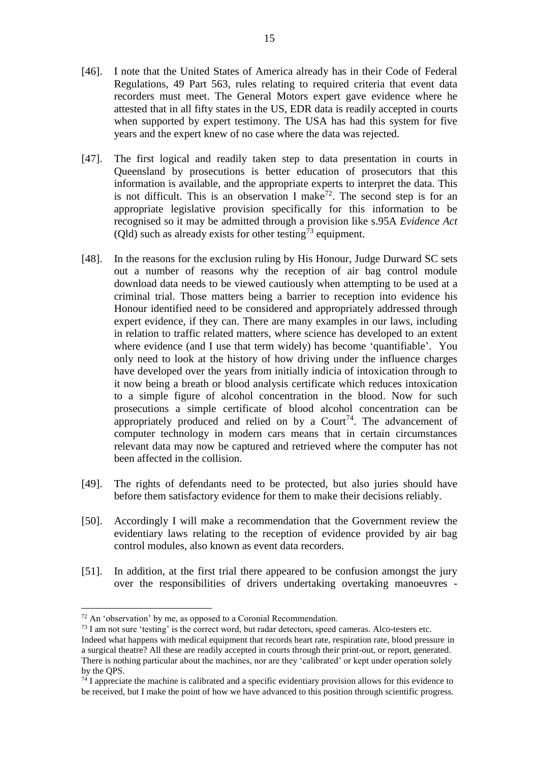- [46]. I note that the United States of America already has in their Code of Federal Regulations, 49 Part 563, rules relating to required criteria that event data recorders must meet. The General Motors expert gave evidence where he attested that in all fifty states in the US, EDR data is readily accepted in courts when supported by expert testimony. The USA has had this system for five years and the expert knew of no case where the data was rejected.
- [47]. The first logical and readily taken step to data presentation in courts in Queensland by prosecutions is better education of prosecutors that this information is available, and the appropriate experts to interpret the data. This is not difficult. This is an observation I make<sup>72</sup>. The second step is for an appropriate legislative provision specifically for this information to be recognised so it may be admitted through a provision like s.95A *Evidence Act* (Old) such as already exists for other testing<sup> $\bar{7}$ 3</sup> equipment.
- [48]. In the reasons for the exclusion ruling by His Honour, Judge Durward SC sets out a number of reasons why the reception of air bag control module download data needs to be viewed cautiously when attempting to be used at a criminal trial. Those matters being a barrier to reception into evidence his Honour identified need to be considered and appropriately addressed through expert evidence, if they can. There are many examples in our laws, including in relation to traffic related matters, where science has developed to an extent where evidence (and I use that term widely) has become 'quantifiable'. You only need to look at the history of how driving under the influence charges have developed over the years from initially indicia of intoxication through to it now being a breath or blood analysis certificate which reduces intoxication to a simple figure of alcohol concentration in the blood. Now for such prosecutions a simple certificate of blood alcohol concentration can be appropriately produced and relied on by a  $Count^{74}$ . The advancement of computer technology in modern cars means that in certain circumstances relevant data may now be captured and retrieved where the computer has not been affected in the collision.
- [49]. The rights of defendants need to be protected, but also juries should have before them satisfactory evidence for them to make their decisions reliably.
- [50]. Accordingly I will make a recommendation that the Government review the evidentiary laws relating to the reception of evidence provided by air bag control modules, also known as event data recorders.
- [51]. In addition, at the first trial there appeared to be confusion amongst the jury over the responsibilities of drivers undertaking overtaking manoeuvres -

 $72$  An 'observation' by me, as opposed to a Coronial Recommendation.

<sup>&</sup>lt;sup>73</sup> I am not sure 'testing' is the correct word, but radar detectors, speed cameras. Alco-testers etc. Indeed what happens with medical equipment that records heart rate, respiration rate, blood pressure in a surgical theatre? All these are readily accepted in courts through their print-out, or report, generated. There is nothing particular about the machines, nor are they 'calibrated' or kept under operation solely by the QPS.

 $74$  I appreciate the machine is calibrated and a specific evidentiary provision allows for this evidence to be received, but I make the point of how we have advanced to this position through scientific progress.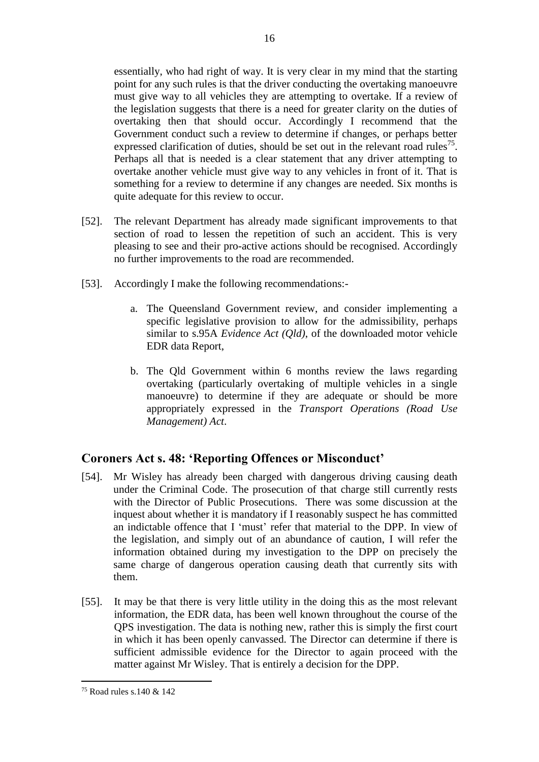essentially, who had right of way. It is very clear in my mind that the starting point for any such rules is that the driver conducting the overtaking manoeuvre must give way to all vehicles they are attempting to overtake. If a review of the legislation suggests that there is a need for greater clarity on the duties of overtaking then that should occur. Accordingly I recommend that the Government conduct such a review to determine if changes, or perhaps better expressed clarification of duties, should be set out in the relevant road rules<sup>75</sup>. Perhaps all that is needed is a clear statement that any driver attempting to overtake another vehicle must give way to any vehicles in front of it. That is something for a review to determine if any changes are needed. Six months is quite adequate for this review to occur.

- [52]. The relevant Department has already made significant improvements to that section of road to lessen the repetition of such an accident. This is very pleasing to see and their pro-active actions should be recognised. Accordingly no further improvements to the road are recommended.
- [53]. Accordingly I make the following recommendations:
	- a. The Queensland Government review, and consider implementing a specific legislative provision to allow for the admissibility, perhaps similar to s.95A *Evidence Act (Qld)*, of the downloaded motor vehicle EDR data Report,
	- b. The Qld Government within 6 months review the laws regarding overtaking (particularly overtaking of multiple vehicles in a single manoeuvre) to determine if they are adequate or should be more appropriately expressed in the *Transport Operations (Road Use Management) Act*.

## **Coroners Act s. 48: 'Reporting Offences or Misconduct'**

- [54]. Mr Wisley has already been charged with dangerous driving causing death under the Criminal Code. The prosecution of that charge still currently rests with the Director of Public Prosecutions. There was some discussion at the inquest about whether it is mandatory if I reasonably suspect he has committed an indictable offence that I 'must' refer that material to the DPP. In view of the legislation, and simply out of an abundance of caution, I will refer the information obtained during my investigation to the DPP on precisely the same charge of dangerous operation causing death that currently sits with them.
- [55]. It may be that there is very little utility in the doing this as the most relevant information, the EDR data, has been well known throughout the course of the QPS investigation. The data is nothing new, rather this is simply the first court in which it has been openly canvassed. The Director can determine if there is sufficient admissible evidence for the Director to again proceed with the matter against Mr Wisley. That is entirely a decision for the DPP.

16

<sup>75</sup> Road rules s.140 & 142